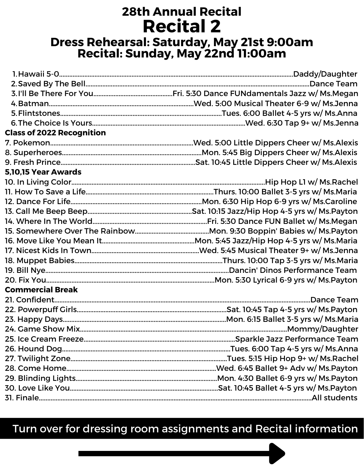## **28th Annual Recital Recital 2 Dress Rehearsal: Saturday, May 21st 9:00am Recital: Sunday, May 22nd 11:00am**

| <b>Class of 2022 Recognition</b> |  |
|----------------------------------|--|
|                                  |  |
|                                  |  |
|                                  |  |
| 5,10,15 Year Awards              |  |
|                                  |  |
|                                  |  |
|                                  |  |
|                                  |  |
|                                  |  |
|                                  |  |
|                                  |  |
|                                  |  |
|                                  |  |
|                                  |  |
|                                  |  |
| <b>Commercial Break</b>          |  |
|                                  |  |
|                                  |  |
|                                  |  |
|                                  |  |
|                                  |  |
|                                  |  |
|                                  |  |
|                                  |  |
|                                  |  |
|                                  |  |
|                                  |  |

### Turn over for dressing room assignments and Recital information